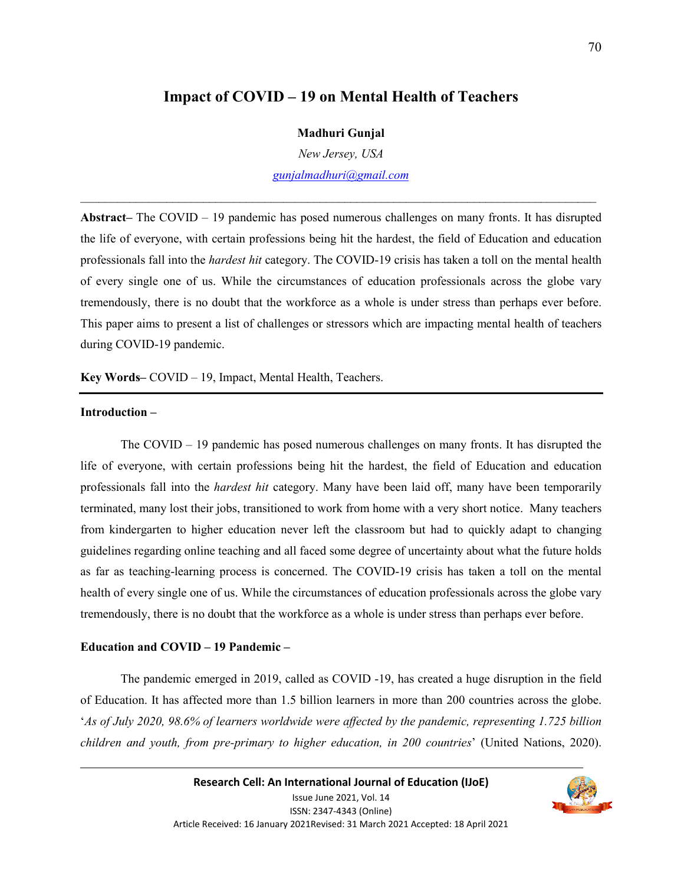# **Impact of COVID – 19 on Mental Health of Teachers**

#### **Madhuri Gunjal**

*New Jersey, USA* 

*gunjalmadhuri@gmail.com*  $\_$  , and the set of the set of the set of the set of the set of the set of the set of the set of the set of the set of the set of the set of the set of the set of the set of the set of the set of the set of the set of th

**Abstract–** The COVID – 19 pandemic has posed numerous challenges on many fronts. It has disrupted the life of everyone, with certain professions being hit the hardest, the field of Education and education professionals fall into the *hardest hit* category. The COVID-19 crisis has taken a toll on the mental health of every single one of us. While the circumstances of education professionals across the globe vary tremendously, there is no doubt that the workforce as a whole is under stress than perhaps ever before. This paper aims to present a list of challenges or stressors which are impacting mental health of teachers during COVID-19 pandemic.

**Key Words–** COVID – 19, Impact, Mental Health, Teachers.

### **Introduction –**

The COVID – 19 pandemic has posed numerous challenges on many fronts. It has disrupted the life of everyone, with certain professions being hit the hardest, the field of Education and education professionals fall into the *hardest hit* category. Many have been laid off, many have been temporarily terminated, many lost their jobs, transitioned to work from home with a very short notice. Many teachers from kindergarten to higher education never left the classroom but had to quickly adapt to changing guidelines regarding online teaching and all faced some degree of uncertainty about what the future holds as far as teaching-learning process is concerned. The COVID-19 crisis has taken a toll on the mental health of every single one of us. While the circumstances of education professionals across the globe vary tremendously, there is no doubt that the workforce as a whole is under stress than perhaps ever before.

## **Education and COVID – 19 Pandemic –**

 The pandemic emerged in 2019, called as COVID -19, has created a huge disruption in the field of Education. It has affected more than 1.5 billion learners in more than 200 countries across the globe. '*As of July 2020, 98.6% of learners worldwide were affected by the pandemic, representing 1.725 billion children and youth, from pre-primary to higher education, in 200 countries*' (United Nations, 2020).

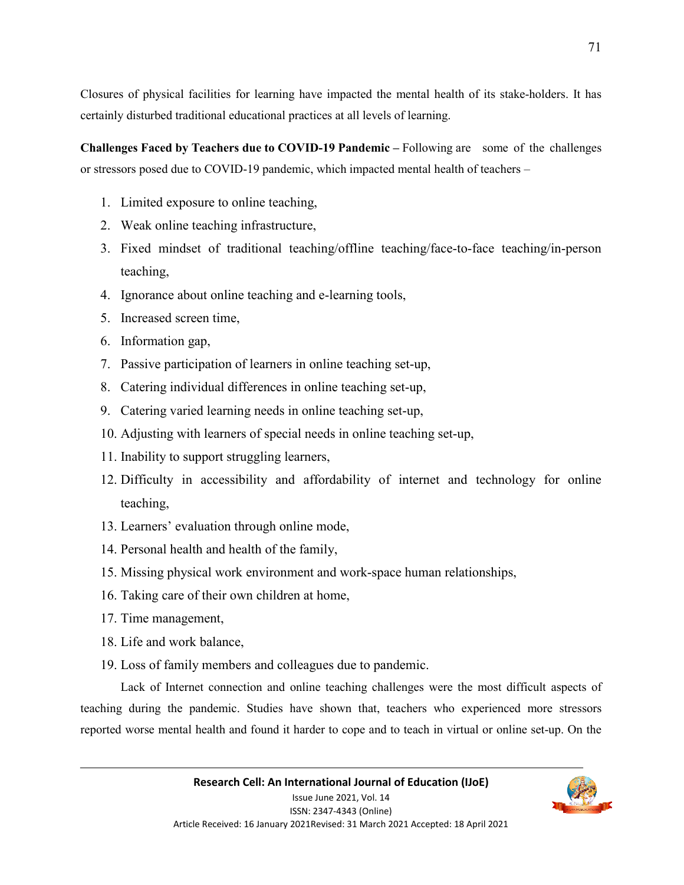Closures of physical facilities for learning have impacted the mental health of its stake-holders. It has certainly disturbed traditional educational practices at all levels of learning.

**Challenges Faced by Teachers due to COVID-19 Pandemic –** Following are some of the challenges or stressors posed due to COVID-19 pandemic, which impacted mental health of teachers –

- 1. Limited exposure to online teaching,
- 2. Weak online teaching infrastructure,
- 3. Fixed mindset of traditional teaching/offline teaching/face-to-face teaching/in-person teaching,
- 4. Ignorance about online teaching and e-learning tools,
- 5. Increased screen time,
- 6. Information gap,
- 7. Passive participation of learners in online teaching set-up,
- 8. Catering individual differences in online teaching set-up,
- 9. Catering varied learning needs in online teaching set-up,
- 10. Adjusting with learners of special needs in online teaching set-up,
- 11. Inability to support struggling learners,
- 12. Difficulty in accessibility and affordability of internet and technology for online teaching,
- 13. Learners' evaluation through online mode,
- 14. Personal health and health of the family,
- 15. Missing physical work environment and work-space human relationships,
- 16. Taking care of their own children at home,
- 17. Time management,
- 18. Life and work balance,
- 19. Loss of family members and colleagues due to pandemic.

Lack of Internet connection and online teaching challenges were the most difficult aspects of teaching during the pandemic. Studies have shown that, teachers who experienced more stressors reported worse mental health and found it harder to cope and to teach in virtual or online set-up. On the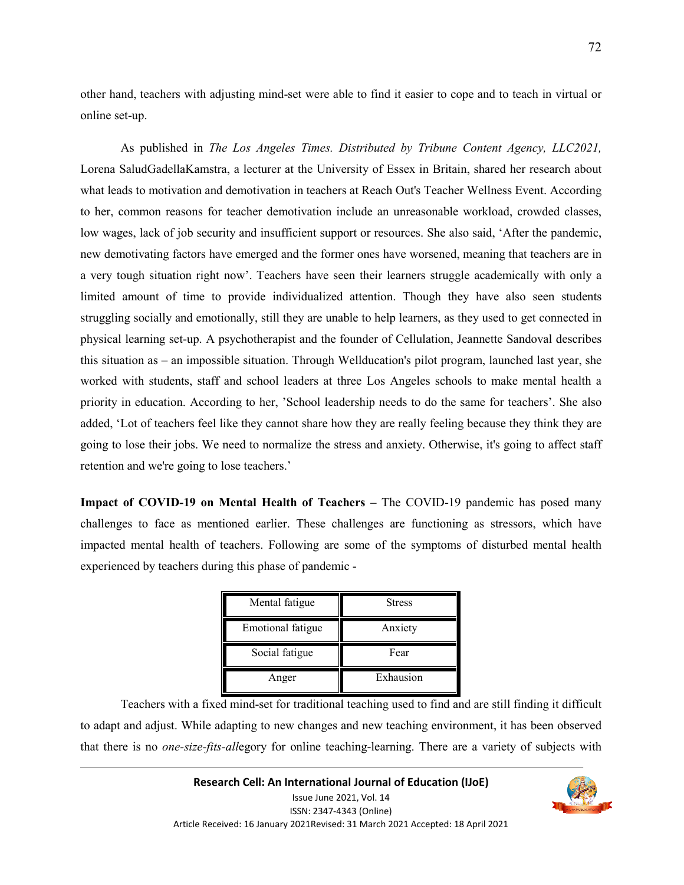other hand, teachers with adjusting mind-set were able to find it easier to cope and to teach in virtual or online set-up.

 As published in *The Los Angeles Times. Distributed by Tribune Content Agency, LLC2021,*  Lorena SaludGadellaKamstra, a lecturer at the University of Essex in Britain, shared her research about what leads to motivation and demotivation in teachers at Reach Out's Teacher Wellness Event. According to her, common reasons for teacher demotivation include an unreasonable workload, crowded classes, low wages, lack of job security and insufficient support or resources. She also said, 'After the pandemic, new demotivating factors have emerged and the former ones have worsened, meaning that teachers are in a very tough situation right now'. Teachers have seen their learners struggle academically with only a limited amount of time to provide individualized attention. Though they have also seen students struggling socially and emotionally, still they are unable to help learners, as they used to get connected in physical learning set-up. A psychotherapist and the founder of Cellulation, Jeannette Sandoval describes this situation as – an impossible situation. Through Wellducation's pilot program, launched last year, she worked with students, staff and school leaders at three Los Angeles schools to make mental health a priority in education. According to her, 'School leadership needs to do the same for teachers'. She also added, 'Lot of teachers feel like they cannot share how they are really feeling because they think they are going to lose their jobs. We need to normalize the stress and anxiety. Otherwise, it's going to affect staff retention and we're going to lose teachers.'

**Impact of COVID-19 on Mental Health of Teachers –** The COVID-19 pandemic has posed many challenges to face as mentioned earlier. These challenges are functioning as stressors, which have impacted mental health of teachers. Following are some of the symptoms of disturbed mental health experienced by teachers during this phase of pandemic -

| Mental fatigue    | <b>Stress</b> |
|-------------------|---------------|
| Emotional fatigue | Anxiety       |
| Social fatigue    | Fear          |
| Anger             | Exhausion     |

Teachers with a fixed mind-set for traditional teaching used to find and are still finding it difficult to adapt and adjust. While adapting to new changes and new teaching environment, it has been observed that there is no *one-size-fits-all*egory for online teaching-learning. There are a variety of subjects with